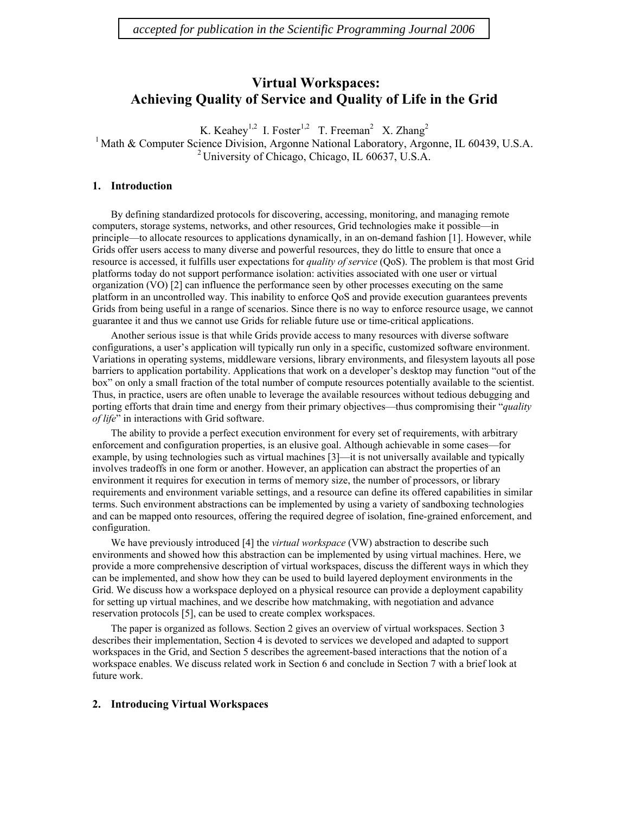# **Virtual Workspaces: Achieving Quality of Service and Quality of Life in the Grid**

K. Keahey<sup>1,2</sup> I. Foster<sup>1,2</sup> T. Freeman<sup>2</sup> X. Zhang<sup>2</sup>

<sup>1</sup> Math & Computer Science Division, Argonne National Laboratory, Argonne, IL 60439, U.S.A. <sup>2</sup> University of Chicago, Chicago, IL 60637, U.S.A.

# **1. Introduction**

By defining standardized protocols for discovering, accessing, monitoring, and managing remote computers, storage systems, networks, and other resources, Grid technologies make it possible—in principle—to allocate resources to applications dynamically, in an on-demand fashion [1]. However, while Grids offer users access to many diverse and powerful resources, they do little to ensure that once a resource is accessed, it fulfills user expectations for *quality of service* (QoS). The problem is that most Grid platforms today do not support performance isolation: activities associated with one user or virtual organization (VO) [2] can influence the performance seen by other processes executing on the same platform in an uncontrolled way. This inability to enforce QoS and provide execution guarantees prevents Grids from being useful in a range of scenarios. Since there is no way to enforce resource usage, we cannot guarantee it and thus we cannot use Grids for reliable future use or time-critical applications.

Another serious issue is that while Grids provide access to many resources with diverse software configurations, a user's application will typically run only in a specific, customized software environment. Variations in operating systems, middleware versions, library environments, and filesystem layouts all pose barriers to application portability. Applications that work on a developer's desktop may function "out of the box" on only a small fraction of the total number of compute resources potentially available to the scientist. Thus, in practice, users are often unable to leverage the available resources without tedious debugging and porting efforts that drain time and energy from their primary objectives—thus compromising their "*quality of life*" in interactions with Grid software.

The ability to provide a perfect execution environment for every set of requirements, with arbitrary enforcement and configuration properties, is an elusive goal. Although achievable in some cases—for example, by using technologies such as virtual machines [3]—it is not universally available and typically involves tradeoffs in one form or another. However, an application can abstract the properties of an environment it requires for execution in terms of memory size, the number of processors, or library requirements and environment variable settings, and a resource can define its offered capabilities in similar terms. Such environment abstractions can be implemented by using a variety of sandboxing technologies and can be mapped onto resources, offering the required degree of isolation, fine-grained enforcement, and configuration.

We have previously introduced [4] the *virtual workspace* (VW) abstraction to describe such environments and showed how this abstraction can be implemented by using virtual machines. Here, we provide a more comprehensive description of virtual workspaces, discuss the different ways in which they can be implemented, and show how they can be used to build layered deployment environments in the Grid. We discuss how a workspace deployed on a physical resource can provide a deployment capability for setting up virtual machines, and we describe how matchmaking, with negotiation and advance reservation protocols [5], can be used to create complex workspaces.

The paper is organized as follows. Section 2 gives an overview of virtual workspaces. Section 3 describes their implementation, Section 4 is devoted to services we developed and adapted to support workspaces in the Grid, and Section 5 describes the agreement-based interactions that the notion of a workspace enables. We discuss related work in Section 6 and conclude in Section 7 with a brief look at future work.

#### **2. Introducing Virtual Workspaces**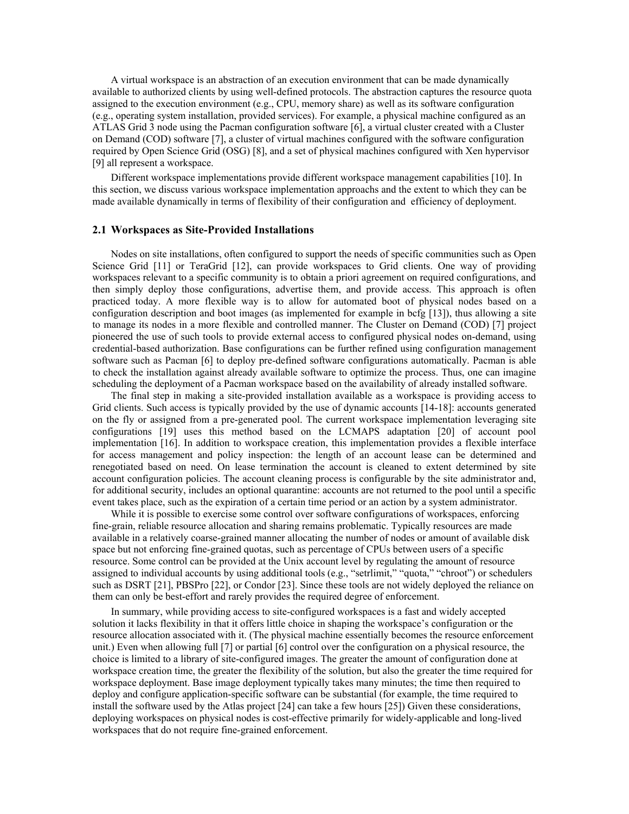A virtual workspace is an abstraction of an execution environment that can be made dynamically available to authorized clients by using well-defined protocols. The abstraction captures the resource quota assigned to the execution environment (e.g., CPU, memory share) as well as its software configuration (e.g., operating system installation, provided services). For example, a physical machine configured as an ATLAS Grid 3 node using the Pacman configuration software [6], a virtual cluster created with a Cluster on Demand (COD) software [7], a cluster of virtual machines configured with the software configuration required by Open Science Grid (OSG) [8], and a set of physical machines configured with Xen hypervisor [9] all represent a workspace.

Different workspace implementations provide different workspace management capabilities [10]. In this section, we discuss various workspace implementation approachs and the extent to which they can be made available dynamically in terms of flexibility of their configuration and efficiency of deployment.

#### **2.1 Workspaces as Site-Provided Installations**

Nodes on site installations, often configured to support the needs of specific communities such as Open Science Grid [11] or TeraGrid [12], can provide workspaces to Grid clients. One way of providing workspaces relevant to a specific community is to obtain a priori agreement on required configurations, and then simply deploy those configurations, advertise them, and provide access. This approach is often practiced today. A more flexible way is to allow for automated boot of physical nodes based on a configuration description and boot images (as implemented for example in bcfg [13]), thus allowing a site to manage its nodes in a more flexible and controlled manner. The Cluster on Demand (COD) [7] project pioneered the use of such tools to provide external access to configured physical nodes on-demand, using credential-based authorization. Base configurations can be further refined using configuration management software such as Pacman [6] to deploy pre-defined software configurations automatically. Pacman is able to check the installation against already available software to optimize the process. Thus, one can imagine scheduling the deployment of a Pacman workspace based on the availability of already installed software.

The final step in making a site-provided installation available as a workspace is providing access to Grid clients. Such access is typically provided by the use of dynamic accounts [14-18]: accounts generated on the fly or assigned from a pre-generated pool. The current workspace implementation leveraging site configurations [19] uses this method based on the LCMAPS adaptation [20] of account pool implementation [16]. In addition to workspace creation, this implementation provides a flexible interface for access management and policy inspection: the length of an account lease can be determined and renegotiated based on need. On lease termination the account is cleaned to extent determined by site account configuration policies. The account cleaning process is configurable by the site administrator and, for additional security, includes an optional quarantine: accounts are not returned to the pool until a specific event takes place, such as the expiration of a certain time period or an action by a system administrator.

While it is possible to exercise some control over software configurations of workspaces, enforcing fine-grain, reliable resource allocation and sharing remains problematic. Typically resources are made available in a relatively coarse-grained manner allocating the number of nodes or amount of available disk space but not enforcing fine-grained quotas, such as percentage of CPUs between users of a specific resource. Some control can be provided at the Unix account level by regulating the amount of resource assigned to individual accounts by using additional tools (e.g., "setrlimit," "quota," "chroot") or schedulers such as DSRT [21], PBSPro [22], or Condor [23]. Since these tools are not widely deployed the reliance on them can only be best-effort and rarely provides the required degree of enforcement.

In summary, while providing access to site-configured workspaces is a fast and widely accepted solution it lacks flexibility in that it offers little choice in shaping the workspace's configuration or the resource allocation associated with it. (The physical machine essentially becomes the resource enforcement unit.) Even when allowing full [7] or partial [6] control over the configuration on a physical resource, the choice is limited to a library of site-configured images. The greater the amount of configuration done at workspace creation time, the greater the flexibility of the solution, but also the greater the time required for workspace deployment. Base image deployment typically takes many minutes; the time then required to deploy and configure application-specific software can be substantial (for example, the time required to install the software used by the Atlas project [24] can take a few hours [25]) Given these considerations, deploying workspaces on physical nodes is cost-effective primarily for widely-applicable and long-lived workspaces that do not require fine-grained enforcement.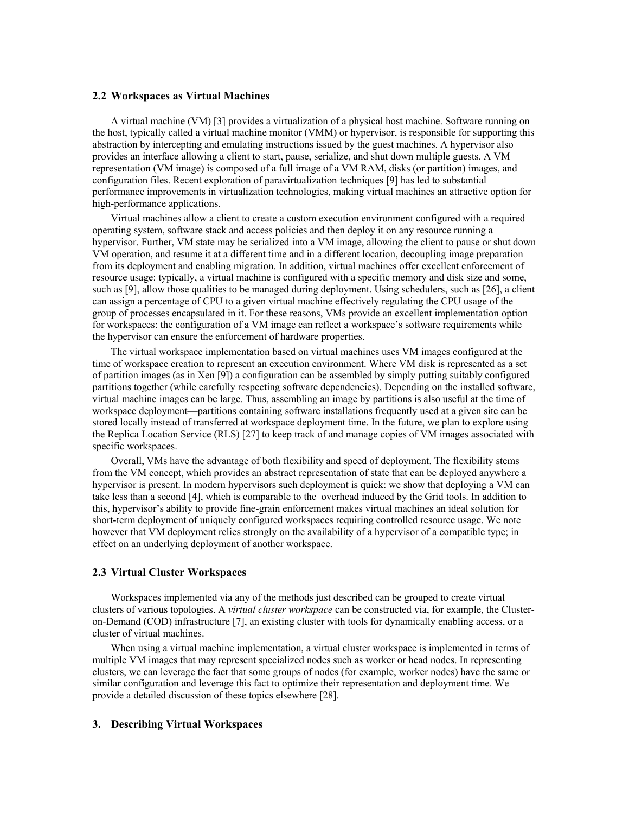# **2.2 Workspaces as Virtual Machines**

A virtual machine (VM) [3] provides a virtualization of a physical host machine. Software running on the host, typically called a virtual machine monitor (VMM) or hypervisor, is responsible for supporting this abstraction by intercepting and emulating instructions issued by the guest machines. A hypervisor also provides an interface allowing a client to start, pause, serialize, and shut down multiple guests. A VM representation (VM image) is composed of a full image of a VM RAM, disks (or partition) images, and configuration files. Recent exploration of paravirtualization techniques [9] has led to substantial performance improvements in virtualization technologies, making virtual machines an attractive option for high-performance applications.

Virtual machines allow a client to create a custom execution environment configured with a required operating system, software stack and access policies and then deploy it on any resource running a hypervisor. Further, VM state may be serialized into a VM image, allowing the client to pause or shut down VM operation, and resume it at a different time and in a different location, decoupling image preparation from its deployment and enabling migration. In addition, virtual machines offer excellent enforcement of resource usage: typically, a virtual machine is configured with a specific memory and disk size and some, such as [9], allow those qualities to be managed during deployment. Using schedulers, such as [26], a client can assign a percentage of CPU to a given virtual machine effectively regulating the CPU usage of the group of processes encapsulated in it. For these reasons, VMs provide an excellent implementation option for workspaces: the configuration of a VM image can reflect a workspace's software requirements while the hypervisor can ensure the enforcement of hardware properties.

The virtual workspace implementation based on virtual machines uses VM images configured at the time of workspace creation to represent an execution environment. Where VM disk is represented as a set of partition images (as in Xen [9]) a configuration can be assembled by simply putting suitably configured partitions together (while carefully respecting software dependencies). Depending on the installed software, virtual machine images can be large. Thus, assembling an image by partitions is also useful at the time of workspace deployment—partitions containing software installations frequently used at a given site can be stored locally instead of transferred at workspace deployment time. In the future, we plan to explore using the Replica Location Service (RLS) [27] to keep track of and manage copies of VM images associated with specific workspaces.

Overall, VMs have the advantage of both flexibility and speed of deployment. The flexibility stems from the VM concept, which provides an abstract representation of state that can be deployed anywhere a hypervisor is present. In modern hypervisors such deployment is quick: we show that deploying a VM can take less than a second [4], which is comparable to the overhead induced by the Grid tools. In addition to this, hypervisor's ability to provide fine-grain enforcement makes virtual machines an ideal solution for short-term deployment of uniquely configured workspaces requiring controlled resource usage. We note however that VM deployment relies strongly on the availability of a hypervisor of a compatible type; in effect on an underlying deployment of another workspace.

# **2.3 Virtual Cluster Workspaces**

Workspaces implemented via any of the methods just described can be grouped to create virtual clusters of various topologies. A *virtual cluster workspace* can be constructed via, for example, the Clusteron-Demand (COD) infrastructure [7], an existing cluster with tools for dynamically enabling access, or a cluster of virtual machines.

When using a virtual machine implementation, a virtual cluster workspace is implemented in terms of multiple VM images that may represent specialized nodes such as worker or head nodes. In representing clusters, we can leverage the fact that some groups of nodes (for example, worker nodes) have the same or similar configuration and leverage this fact to optimize their representation and deployment time. We provide a detailed discussion of these topics elsewhere [28].

## **3. Describing Virtual Workspaces**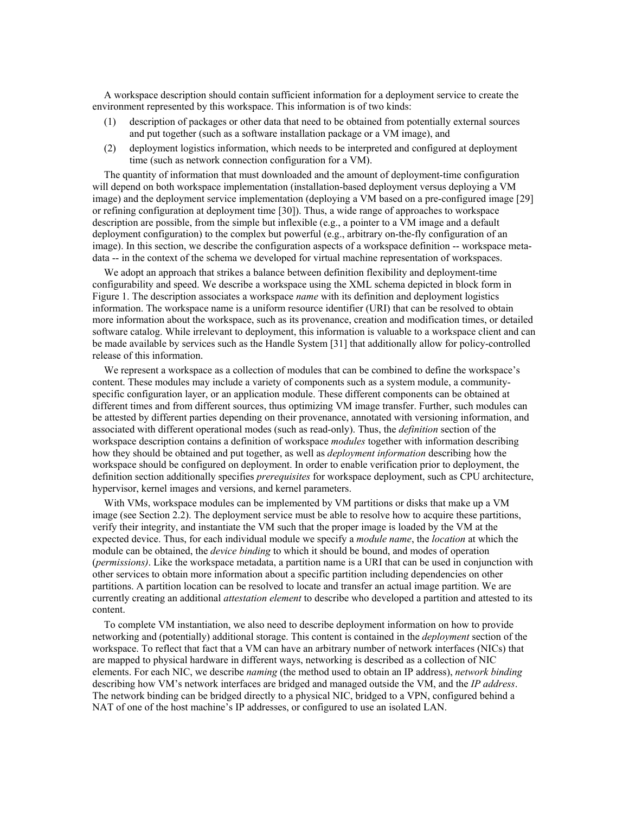A workspace description should contain sufficient information for a deployment service to create the environment represented by this workspace. This information is of two kinds:

- (1) description of packages or other data that need to be obtained from potentially external sources and put together (such as a software installation package or a VM image), and
- (2) deployment logistics information, which needs to be interpreted and configured at deployment time (such as network connection configuration for a VM).

The quantity of information that must downloaded and the amount of deployment-time configuration will depend on both workspace implementation (installation-based deployment versus deploying a VM image) and the deployment service implementation (deploying a VM based on a pre-configured image [29] or refining configuration at deployment time [30]). Thus, a wide range of approaches to workspace description are possible, from the simple but inflexible (e.g., a pointer to a VM image and a default deployment configuration) to the complex but powerful (e.g., arbitrary on-the-fly configuration of an image). In this section, we describe the configuration aspects of a workspace definition -- workspace metadata -- in the context of the schema we developed for virtual machine representation of workspaces.

We adopt an approach that strikes a balance between definition flexibility and deployment-time configurability and speed. We describe a workspace using the XML schema depicted in block form in Figure 1. The description associates a workspace *name* with its definition and deployment logistics information. The workspace name is a uniform resource identifier (URI) that can be resolved to obtain more information about the workspace, such as its provenance, creation and modification times, or detailed software catalog. While irrelevant to deployment, this information is valuable to a workspace client and can be made available by services such as the Handle System [31] that additionally allow for policy-controlled release of this information.

We represent a workspace as a collection of modules that can be combined to define the workspace's content. These modules may include a variety of components such as a system module, a communityspecific configuration layer, or an application module. These different components can be obtained at different times and from different sources, thus optimizing VM image transfer. Further, such modules can be attested by different parties depending on their provenance, annotated with versioning information, and associated with different operational modes (such as read-only). Thus, the *definition* section of the workspace description contains a definition of workspace *modules* together with information describing how they should be obtained and put together, as well as *deployment information* describing how the workspace should be configured on deployment. In order to enable verification prior to deployment, the definition section additionally specifies *prerequisites* for workspace deployment, such as CPU architecture, hypervisor, kernel images and versions, and kernel parameters.

With VMs, workspace modules can be implemented by VM partitions or disks that make up a VM image (see Section 2.2). The deployment service must be able to resolve how to acquire these partitions, verify their integrity, and instantiate the VM such that the proper image is loaded by the VM at the expected device. Thus, for each individual module we specify a *module name*, the *location* at which the module can be obtained, the *device binding* to which it should be bound, and modes of operation (*permissions)*. Like the workspace metadata, a partition name is a URI that can be used in conjunction with other services to obtain more information about a specific partition including dependencies on other partitions. A partition location can be resolved to locate and transfer an actual image partition. We are currently creating an additional *attestation element* to describe who developed a partition and attested to its content.

To complete VM instantiation, we also need to describe deployment information on how to provide networking and (potentially) additional storage. This content is contained in the *deployment* section of the workspace. To reflect that fact that a VM can have an arbitrary number of network interfaces (NICs) that are mapped to physical hardware in different ways, networking is described as a collection of NIC elements. For each NIC, we describe *naming* (the method used to obtain an IP address), *network binding* describing how VM's network interfaces are bridged and managed outside the VM, and the *IP address*. The network binding can be bridged directly to a physical NIC, bridged to a VPN, configured behind a NAT of one of the host machine's IP addresses, or configured to use an isolated LAN.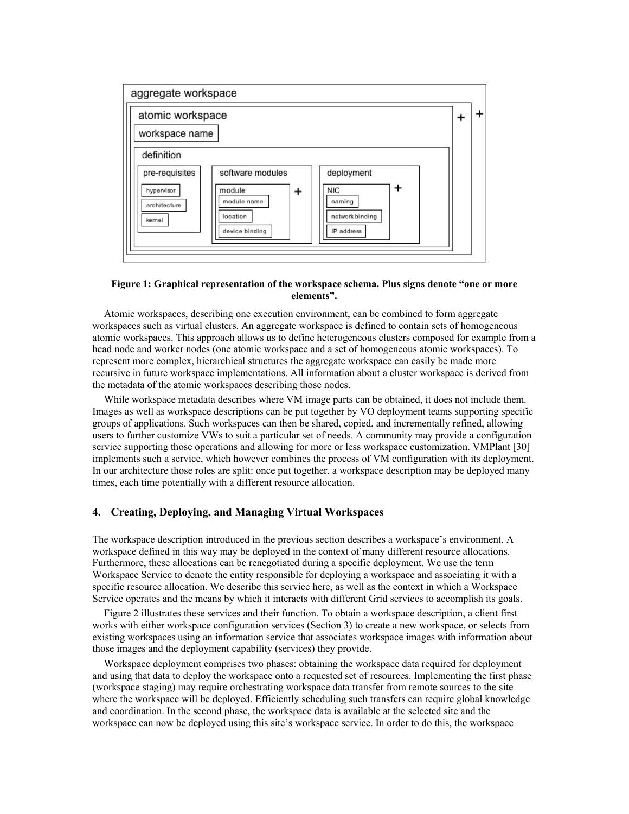

# **Figure 1: Graphical representation of the workspace schema. Plus signs denote "one or more elements".**

Atomic workspaces, describing one execution environment, can be combined to form aggregate workspaces such as virtual clusters. An aggregate workspace is defined to contain sets of homogeneous atomic workspaces. This approach allows us to define heterogeneous clusters composed for example from a head node and worker nodes (one atomic workspace and a set of homogeneous atomic workspaces). To represent more complex, hierarchical structures the aggregate workspace can easily be made more recursive in future workspace implementations. All information about a cluster workspace is derived from the metadata of the atomic workspaces describing those nodes.

While workspace metadata describes where VM image parts can be obtained, it does not include them. Images as well as workspace descriptions can be put together by VO deployment teams supporting specific groups of applications. Such workspaces can then be shared, copied, and incrementally refined, allowing users to further customize VWs to suit a particular set of needs. A community may provide a configuration service supporting those operations and allowing for more or less workspace customization. VMPlant [30] implements such a service, which however combines the process of VM configuration with its deployment. In our architecture those roles are split: once put together, a workspace description may be deployed many times, each time potentially with a different resource allocation.

# **4. Creating, Deploying, and Managing Virtual Workspaces**

The workspace description introduced in the previous section describes a workspace's environment. A workspace defined in this way may be deployed in the context of many different resource allocations. Furthermore, these allocations can be renegotiated during a specific deployment. We use the term Workspace Service to denote the entity responsible for deploying a workspace and associating it with a specific resource allocation. We describe this service here, as well as the context in which a Workspace Service operates and the means by which it interacts with different Grid services to accomplish its goals.

Figure 2 illustrates these services and their function. To obtain a workspace description, a client first works with either workspace configuration services (Section 3) to create a new workspace, or selects from existing workspaces using an information service that associates workspace images with information about those images and the deployment capability (services) they provide.

Workspace deployment comprises two phases: obtaining the workspace data required for deployment and using that data to deploy the workspace onto a requested set of resources. Implementing the first phase (workspace staging) may require orchestrating workspace data transfer from remote sources to the site where the workspace will be deployed. Efficiently scheduling such transfers can require global knowledge and coordination. In the second phase, the workspace data is available at the selected site and the workspace can now be deployed using this site's workspace service. In order to do this, the workspace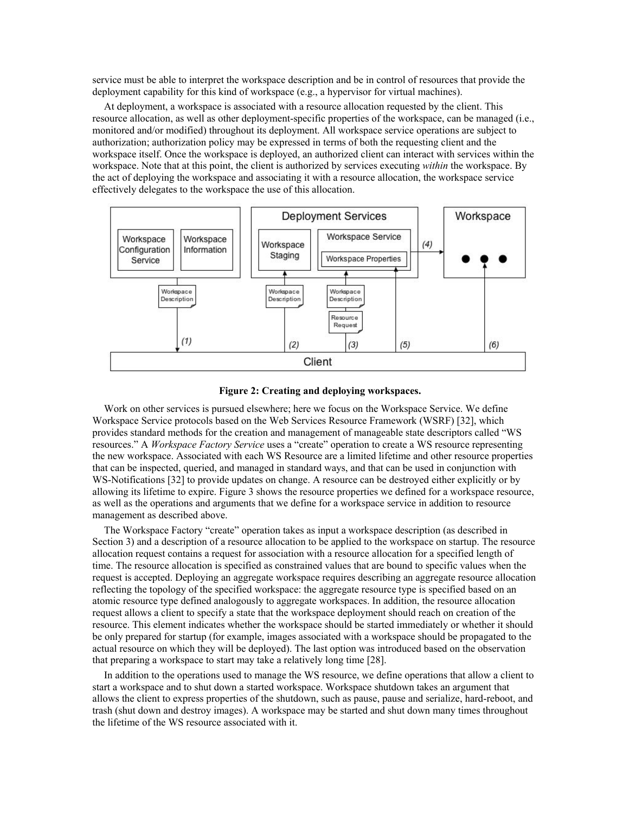service must be able to interpret the workspace description and be in control of resources that provide the deployment capability for this kind of workspace (e.g., a hypervisor for virtual machines).

At deployment, a workspace is associated with a resource allocation requested by the client. This resource allocation, as well as other deployment-specific properties of the workspace, can be managed (i.e., monitored and/or modified) throughout its deployment. All workspace service operations are subject to authorization; authorization policy may be expressed in terms of both the requesting client and the workspace itself. Once the workspace is deployed, an authorized client can interact with services within the workspace. Note that at this point, the client is authorized by services executing *within* the workspace. By the act of deploying the workspace and associating it with a resource allocation, the workspace service effectively delegates to the workspace the use of this allocation.





Work on other services is pursued elsewhere; here we focus on the Workspace Service. We define Workspace Service protocols based on the Web Services Resource Framework (WSRF) [32], which provides standard methods for the creation and management of manageable state descriptors called "WS resources." A *Workspace Factory Service* uses a "create" operation to create a WS resource representing the new workspace. Associated with each WS Resource are a limited lifetime and other resource properties that can be inspected, queried, and managed in standard ways, and that can be used in conjunction with WS-Notifications [32] to provide updates on change. A resource can be destroyed either explicitly or by allowing its lifetime to expire. Figure 3 shows the resource properties we defined for a workspace resource, as well as the operations and arguments that we define for a workspace service in addition to resource management as described above.

The Workspace Factory "create" operation takes as input a workspace description (as described in Section 3) and a description of a resource allocation to be applied to the workspace on startup. The resource allocation request contains a request for association with a resource allocation for a specified length of time. The resource allocation is specified as constrained values that are bound to specific values when the request is accepted. Deploying an aggregate workspace requires describing an aggregate resource allocation reflecting the topology of the specified workspace: the aggregate resource type is specified based on an atomic resource type defined analogously to aggregate workspaces. In addition, the resource allocation request allows a client to specify a state that the workspace deployment should reach on creation of the resource. This element indicates whether the workspace should be started immediately or whether it should be only prepared for startup (for example, images associated with a workspace should be propagated to the actual resource on which they will be deployed). The last option was introduced based on the observation that preparing a workspace to start may take a relatively long time [28].

In addition to the operations used to manage the WS resource, we define operations that allow a client to start a workspace and to shut down a started workspace. Workspace shutdown takes an argument that allows the client to express properties of the shutdown, such as pause, pause and serialize, hard-reboot, and trash (shut down and destroy images). A workspace may be started and shut down many times throughout the lifetime of the WS resource associated with it.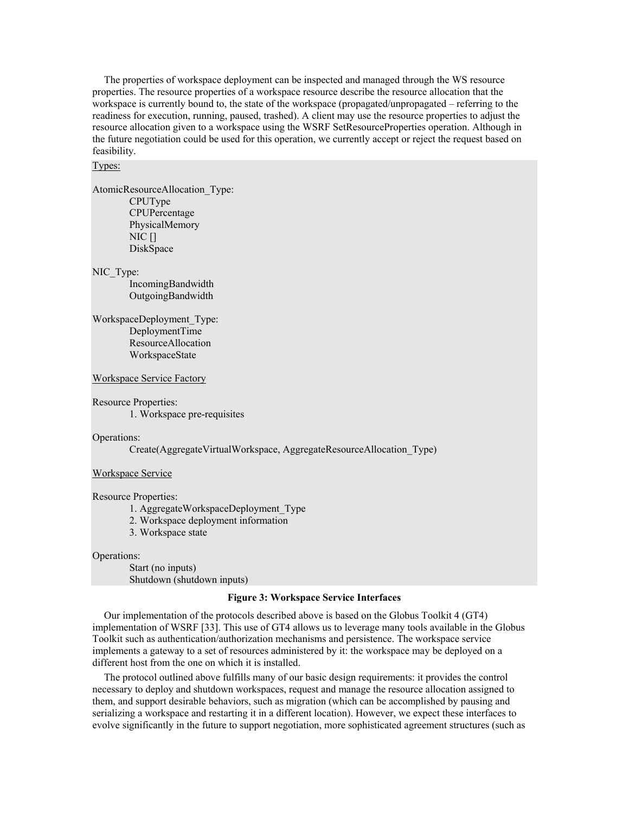The properties of workspace deployment can be inspected and managed through the WS resource properties. The resource properties of a workspace resource describe the resource allocation that the workspace is currently bound to, the state of the workspace (propagated/unpropagated – referring to the readiness for execution, running, paused, trashed). A client may use the resource properties to adjust the resource allocation given to a workspace using the WSRF SetResourceProperties operation. Although in the future negotiation could be used for this operation, we currently accept or reject the request based on feasibility.

# Types:

AtomicResourceAllocation\_Type: CPUType CPUPercentage PhysicalMemory  $NIC$   $[$ ] **DiskSpace** 

NIC Type:

 IncomingBandwidth OutgoingBandwidth

WorkspaceDeployment\_Type: DeploymentTime ResourceAllocation WorkspaceState

### Workspace Service Factory

#### Resource Properties:

1. Workspace pre-requisites

#### Operations:

Create(AggregateVirtualWorkspace, AggregateResourceAllocation\_Type)

### Workspace Service

#### Resource Properties:

1. AggregateWorkspaceDeployment\_Type

- 2. Workspace deployment information
- 3. Workspace state

#### Operations:

 Start (no inputs) Shutdown (shutdown inputs)

#### **Figure 3: Workspace Service Interfaces**

Our implementation of the protocols described above is based on the Globus Toolkit 4 (GT4) implementation of WSRF [33]. This use of GT4 allows us to leverage many tools available in the Globus Toolkit such as authentication/authorization mechanisms and persistence. The workspace service implements a gateway to a set of resources administered by it: the workspace may be deployed on a different host from the one on which it is installed.

The protocol outlined above fulfills many of our basic design requirements: it provides the control necessary to deploy and shutdown workspaces, request and manage the resource allocation assigned to them, and support desirable behaviors, such as migration (which can be accomplished by pausing and serializing a workspace and restarting it in a different location). However, we expect these interfaces to evolve significantly in the future to support negotiation, more sophisticated agreement structures (such as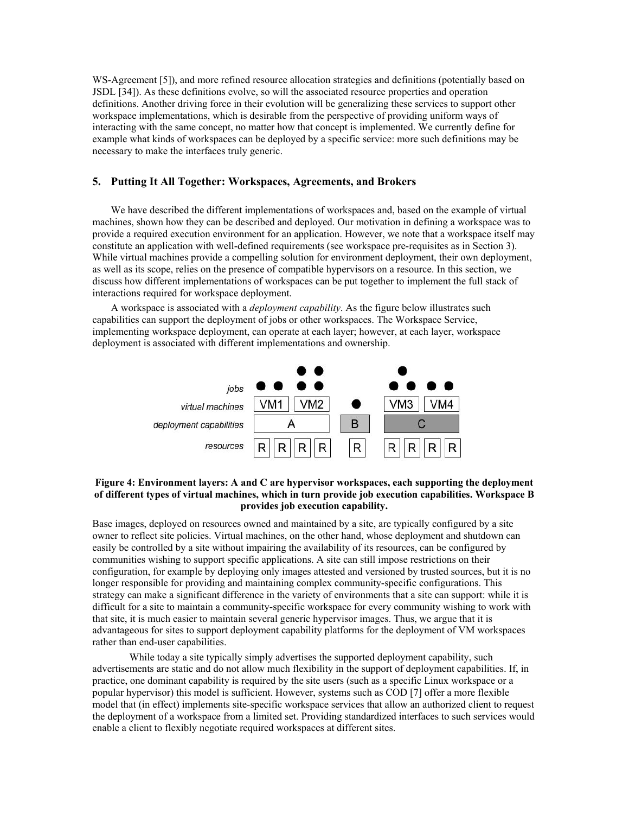WS-Agreement [5]), and more refined resource allocation strategies and definitions (potentially based on JSDL [34]). As these definitions evolve, so will the associated resource properties and operation definitions. Another driving force in their evolution will be generalizing these services to support other workspace implementations, which is desirable from the perspective of providing uniform ways of interacting with the same concept, no matter how that concept is implemented. We currently define for example what kinds of workspaces can be deployed by a specific service: more such definitions may be necessary to make the interfaces truly generic.

# **5. Putting It All Together: Workspaces, Agreements, and Brokers**

 We have described the different implementations of workspaces and, based on the example of virtual machines, shown how they can be described and deployed. Our motivation in defining a workspace was to provide a required execution environment for an application. However, we note that a workspace itself may constitute an application with well-defined requirements (see workspace pre-requisites as in Section 3). While virtual machines provide a compelling solution for environment deployment, their own deployment, as well as its scope, relies on the presence of compatible hypervisors on a resource. In this section, we discuss how different implementations of workspaces can be put together to implement the full stack of interactions required for workspace deployment.

A workspace is associated with a *deployment capability*. As the figure below illustrates such capabilities can support the deployment of jobs or other workspaces. The Workspace Service, implementing workspace deployment, can operate at each layer; however, at each layer, workspace deployment is associated with different implementations and ownership.



# **Figure 4: Environment layers: A and C are hypervisor workspaces, each supporting the deployment of different types of virtual machines, which in turn provide job execution capabilities. Workspace B provides job execution capability.**

Base images, deployed on resources owned and maintained by a site, are typically configured by a site owner to reflect site policies. Virtual machines, on the other hand, whose deployment and shutdown can easily be controlled by a site without impairing the availability of its resources, can be configured by communities wishing to support specific applications. A site can still impose restrictions on their configuration, for example by deploying only images attested and versioned by trusted sources, but it is no longer responsible for providing and maintaining complex community-specific configurations. This strategy can make a significant difference in the variety of environments that a site can support: while it is difficult for a site to maintain a community-specific workspace for every community wishing to work with that site, it is much easier to maintain several generic hypervisor images. Thus, we argue that it is advantageous for sites to support deployment capability platforms for the deployment of VM workspaces rather than end-user capabilities.

While today a site typically simply advertises the supported deployment capability, such advertisements are static and do not allow much flexibility in the support of deployment capabilities. If, in practice, one dominant capability is required by the site users (such as a specific Linux workspace or a popular hypervisor) this model is sufficient. However, systems such as COD [7] offer a more flexible model that (in effect) implements site-specific workspace services that allow an authorized client to request the deployment of a workspace from a limited set. Providing standardized interfaces to such services would enable a client to flexibly negotiate required workspaces at different sites.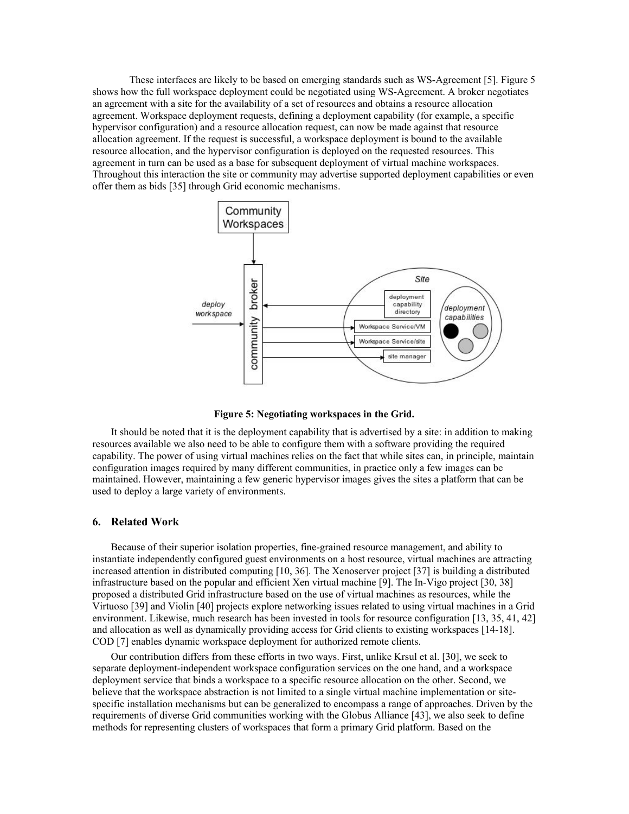These interfaces are likely to be based on emerging standards such as WS-Agreement [5]. Figure 5 shows how the full workspace deployment could be negotiated using WS-Agreement. A broker negotiates an agreement with a site for the availability of a set of resources and obtains a resource allocation agreement. Workspace deployment requests, defining a deployment capability (for example, a specific hypervisor configuration) and a resource allocation request, can now be made against that resource allocation agreement. If the request is successful, a workspace deployment is bound to the available resource allocation, and the hypervisor configuration is deployed on the requested resources. This agreement in turn can be used as a base for subsequent deployment of virtual machine workspaces. Throughout this interaction the site or community may advertise supported deployment capabilities or even offer them as bids [35] through Grid economic mechanisms.



**Figure 5: Negotiating workspaces in the Grid.** 

It should be noted that it is the deployment capability that is advertised by a site: in addition to making resources available we also need to be able to configure them with a software providing the required capability. The power of using virtual machines relies on the fact that while sites can, in principle, maintain configuration images required by many different communities, in practice only a few images can be maintained. However, maintaining a few generic hypervisor images gives the sites a platform that can be used to deploy a large variety of environments.

### **6. Related Work**

Because of their superior isolation properties, fine-grained resource management, and ability to instantiate independently configured guest environments on a host resource, virtual machines are attracting increased attention in distributed computing [10, 36]. The Xenoserver project [37] is building a distributed infrastructure based on the popular and efficient Xen virtual machine [9]. The In-Vigo project [30, 38] proposed a distributed Grid infrastructure based on the use of virtual machines as resources, while the Virtuoso [39] and Violin [40] projects explore networking issues related to using virtual machines in a Grid environment. Likewise, much research has been invested in tools for resource configuration [13, 35, 41, 42] and allocation as well as dynamically providing access for Grid clients to existing workspaces [14-18]. COD [7] enables dynamic workspace deployment for authorized remote clients.

Our contribution differs from these efforts in two ways. First, unlike Krsul et al. [30], we seek to separate deployment-independent workspace configuration services on the one hand, and a workspace deployment service that binds a workspace to a specific resource allocation on the other. Second, we believe that the workspace abstraction is not limited to a single virtual machine implementation or sitespecific installation mechanisms but can be generalized to encompass a range of approaches. Driven by the requirements of diverse Grid communities working with the Globus Alliance [43], we also seek to define methods for representing clusters of workspaces that form a primary Grid platform. Based on the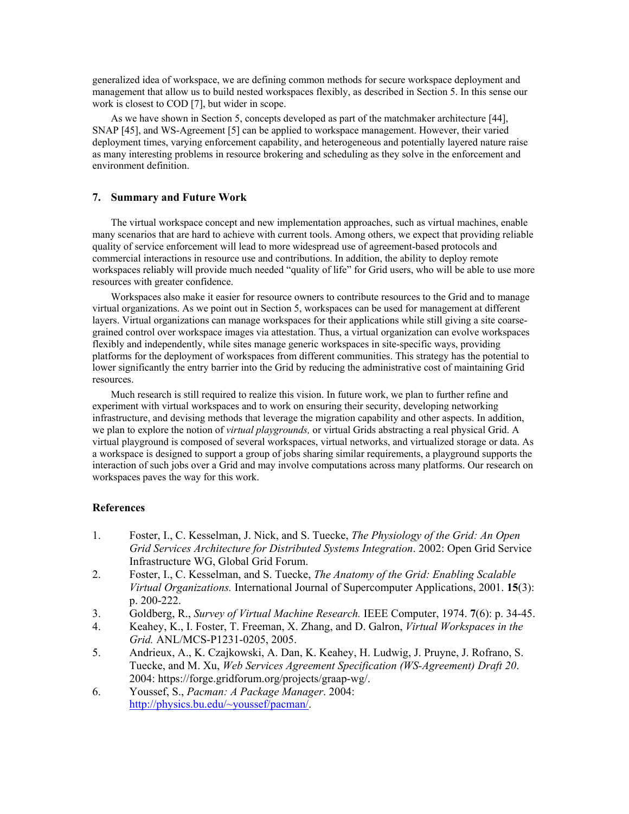generalized idea of workspace, we are defining common methods for secure workspace deployment and management that allow us to build nested workspaces flexibly, as described in Section 5. In this sense our work is closest to COD [7], but wider in scope.

As we have shown in Section 5, concepts developed as part of the matchmaker architecture [44], SNAP [45], and WS-Agreement [5] can be applied to workspace management. However, their varied deployment times, varying enforcement capability, and heterogeneous and potentially layered nature raise as many interesting problems in resource brokering and scheduling as they solve in the enforcement and environment definition.

# **7. Summary and Future Work**

The virtual workspace concept and new implementation approaches, such as virtual machines, enable many scenarios that are hard to achieve with current tools. Among others, we expect that providing reliable quality of service enforcement will lead to more widespread use of agreement-based protocols and commercial interactions in resource use and contributions. In addition, the ability to deploy remote workspaces reliably will provide much needed "quality of life" for Grid users, who will be able to use more resources with greater confidence.

Workspaces also make it easier for resource owners to contribute resources to the Grid and to manage virtual organizations. As we point out in Section 5, workspaces can be used for management at different layers. Virtual organizations can manage workspaces for their applications while still giving a site coarsegrained control over workspace images via attestation. Thus, a virtual organization can evolve workspaces flexibly and independently, while sites manage generic workspaces in site-specific ways, providing platforms for the deployment of workspaces from different communities. This strategy has the potential to lower significantly the entry barrier into the Grid by reducing the administrative cost of maintaining Grid resources.

Much research is still required to realize this vision. In future work, we plan to further refine and experiment with virtual workspaces and to work on ensuring their security, developing networking infrastructure, and devising methods that leverage the migration capability and other aspects. In addition, we plan to explore the notion of *virtual playgrounds,* or virtual Grids abstracting a real physical Grid. A virtual playground is composed of several workspaces, virtual networks, and virtualized storage or data. As a workspace is designed to support a group of jobs sharing similar requirements, a playground supports the interaction of such jobs over a Grid and may involve computations across many platforms. Our research on workspaces paves the way for this work.

# **References**

- 1. Foster, I., C. Kesselman, J. Nick, and S. Tuecke, *The Physiology of the Grid: An Open Grid Services Architecture for Distributed Systems Integration*. 2002: Open Grid Service Infrastructure WG, Global Grid Forum.
- 2. Foster, I., C. Kesselman, and S. Tuecke, *The Anatomy of the Grid: Enabling Scalable Virtual Organizations.* International Journal of Supercomputer Applications, 2001. **15**(3): p. 200-222.
- 3. Goldberg, R., *Survey of Virtual Machine Research.* IEEE Computer, 1974. **7**(6): p. 34-45.
- 4. Keahey, K., I. Foster, T. Freeman, X. Zhang, and D. Galron, *Virtual Workspaces in the Grid.* ANL/MCS-P1231-0205, 2005.
- 5. Andrieux, A., K. Czajkowski, A. Dan, K. Keahey, H. Ludwig, J. Pruyne, J. Rofrano, S. Tuecke, and M. Xu, *Web Services Agreement Specification (WS-Agreement) Draft 20*. 2004: https://forge.gridforum.org/projects/graap-wg/.
- 6. Youssef, S., *Pacman: A Package Manager*. 2004: http://physics.bu.edu/~youssef/pacman/.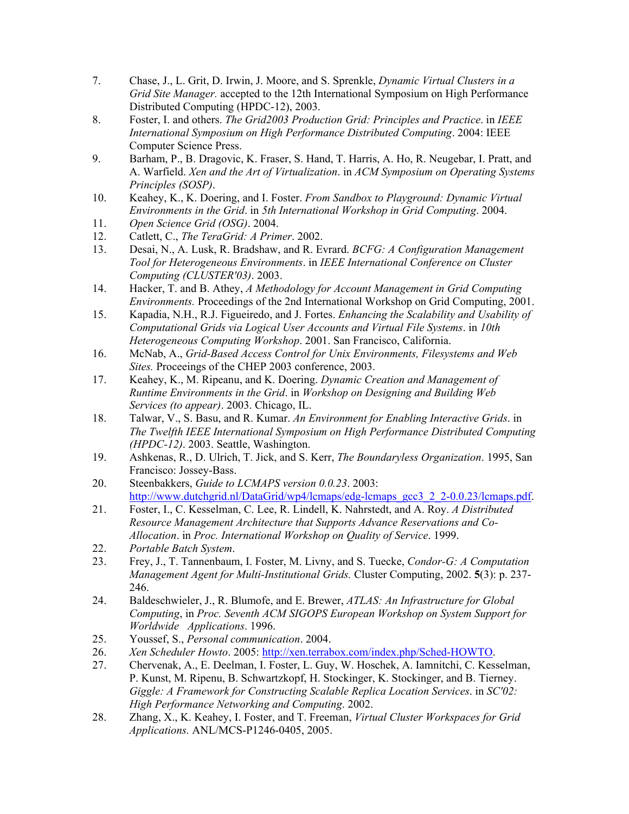- 7. Chase, J., L. Grit, D. Irwin, J. Moore, and S. Sprenkle, *Dynamic Virtual Clusters in a Grid Site Manager.* accepted to the 12th International Symposium on High Performance Distributed Computing (HPDC-12), 2003.
- 8. Foster, I. and others. *The Grid2003 Production Grid: Principles and Practice*. in *IEEE International Symposium on High Performance Distributed Computing*. 2004: IEEE Computer Science Press.
- 9. Barham, P., B. Dragovic, K. Fraser, S. Hand, T. Harris, A. Ho, R. Neugebar, I. Pratt, and A. Warfield. *Xen and the Art of Virtualization*. in *ACM Symposium on Operating Systems Principles (SOSP)*.
- 10. Keahey, K., K. Doering, and I. Foster. *From Sandbox to Playground: Dynamic Virtual Environments in the Grid*. in *5th International Workshop in Grid Computing*. 2004.
- 11. *Open Science Grid (OSG)*. 2004.
- 12. Catlett, C., *The TeraGrid: A Primer*. 2002.
- 13. Desai, N., A. Lusk, R. Bradshaw, and R. Evrard. *BCFG: A Configuration Management Tool for Heterogeneous Environments*. in *IEEE International Conference on Cluster Computing (CLUSTER'03)*. 2003.
- 14. Hacker, T. and B. Athey, *A Methodology for Account Management in Grid Computing Environments.* Proceedings of the 2nd International Workshop on Grid Computing, 2001.
- 15. Kapadia, N.H., R.J. Figueiredo, and J. Fortes. *Enhancing the Scalability and Usability of Computational Grids via Logical User Accounts and Virtual File Systems*. in *10th Heterogeneous Computing Workshop*. 2001. San Francisco, California.
- 16. McNab, A., *Grid-Based Access Control for Unix Environments, Filesystems and Web Sites.* Proceeings of the CHEP 2003 conference, 2003.
- 17. Keahey, K., M. Ripeanu, and K. Doering. *Dynamic Creation and Management of Runtime Environments in the Grid*. in *Workshop on Designing and Building Web Services (to appear)*. 2003. Chicago, IL.
- 18. Talwar, V., S. Basu, and R. Kumar. *An Environment for Enabling Interactive Grids*. in *The Twelfth IEEE International Symposium on High Performance Distributed Computing (HPDC-12)*. 2003. Seattle, Washington.
- 19. Ashkenas, R., D. Ulrich, T. Jick, and S. Kerr, *The Boundaryless Organization*. 1995, San Francisco: Jossey-Bass.
- 20. Steenbakkers, *Guide to LCMAPS version 0.0.23*. 2003: http://www.dutchgrid.nl/DataGrid/wp4/lcmaps/edg-lcmaps\_gcc3\_2\_2-0.0.23/lcmaps.pdf.
- 21. Foster, I., C. Kesselman, C. Lee, R. Lindell, K. Nahrstedt, and A. Roy. *A Distributed Resource Management Architecture that Supports Advance Reservations and Co-Allocation*. in *Proc. International Workshop on Quality of Service*. 1999.
- 22. *Portable Batch System*.
- 23. Frey, J., T. Tannenbaum, I. Foster, M. Livny, and S. Tuecke, *Condor-G: A Computation Management Agent for Multi-Institutional Grids.* Cluster Computing, 2002. **5**(3): p. 237- 246.
- 24. Baldeschwieler, J., R. Blumofe, and E. Brewer, *ATLAS: An Infrastructure for Global Computing*, in *Proc. Seventh ACM SIGOPS European Workshop on System Support for Worldwide Applications*. 1996.
- 25. Youssef, S., *Personal communication*. 2004.
- 26. *Xen Scheduler Howto*. 2005: http://xen.terrabox.com/index.php/Sched-HOWTO.
- 27. Chervenak, A., E. Deelman, I. Foster, L. Guy, W. Hoschek, A. Iamnitchi, C. Kesselman, P. Kunst, M. Ripenu, B. Schwartzkopf, H. Stockinger, K. Stockinger, and B. Tierney. *Giggle: A Framework for Constructing Scalable Replica Location Services*. in *SC'02: High Performance Networking and Computing*. 2002.
- 28. Zhang, X., K. Keahey, I. Foster, and T. Freeman, *Virtual Cluster Workspaces for Grid Applications.* ANL/MCS-P1246-0405, 2005.